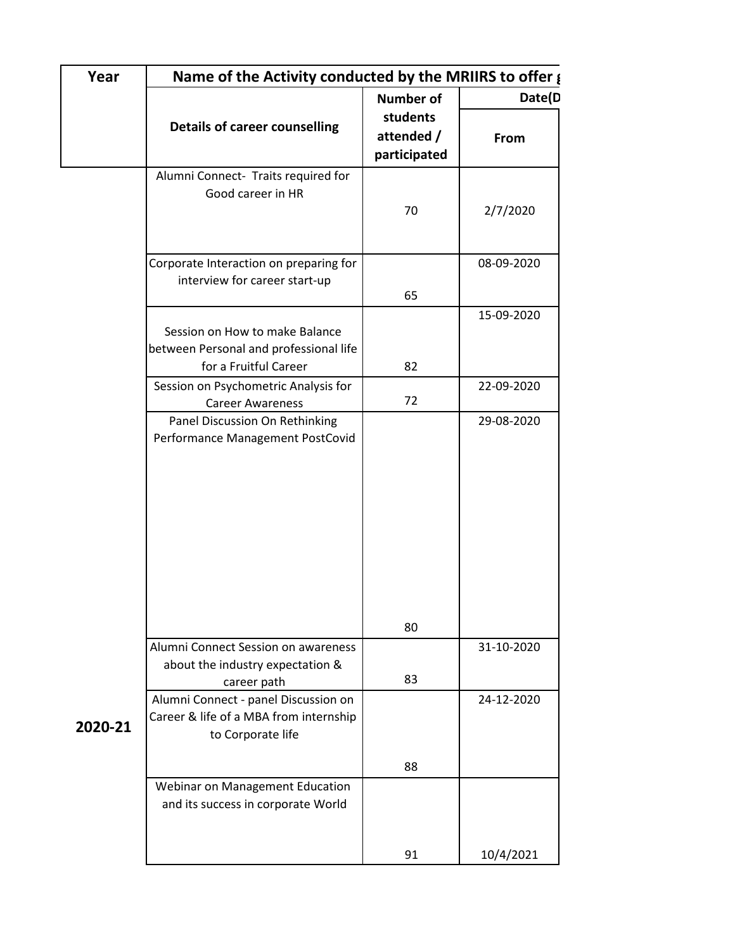| Year    | Name of the Activity conducted by the MRIIRS to offer {                                             |                                        |            |
|---------|-----------------------------------------------------------------------------------------------------|----------------------------------------|------------|
|         |                                                                                                     | <b>Number of</b>                       | Date(D     |
|         | <b>Details of career counselling</b>                                                                | students<br>attended /<br>participated | From       |
|         | Alumni Connect- Traits required for<br>Good career in HR                                            | 70                                     | 2/7/2020   |
|         | Corporate Interaction on preparing for<br>interview for career start-up                             | 65                                     | 08-09-2020 |
|         | Session on How to make Balance<br>between Personal and professional life<br>for a Fruitful Career   | 82                                     | 15-09-2020 |
|         | Session on Psychometric Analysis for<br><b>Career Awareness</b>                                     | 72                                     | 22-09-2020 |
|         | Panel Discussion On Rethinking<br>Performance Management PostCovid                                  |                                        | 29-08-2020 |
|         |                                                                                                     | 80                                     |            |
|         | Alumni Connect Session on awareness<br>about the industry expectation &<br>career path              | 83                                     | 31-10-2020 |
| 2020-21 | Alumni Connect - panel Discussion on<br>Career & life of a MBA from internship<br>to Corporate life |                                        | 24-12-2020 |
|         |                                                                                                     | 88                                     |            |
|         | Webinar on Management Education<br>and its success in corporate World                               |                                        |            |
|         |                                                                                                     | 91                                     | 10/4/2021  |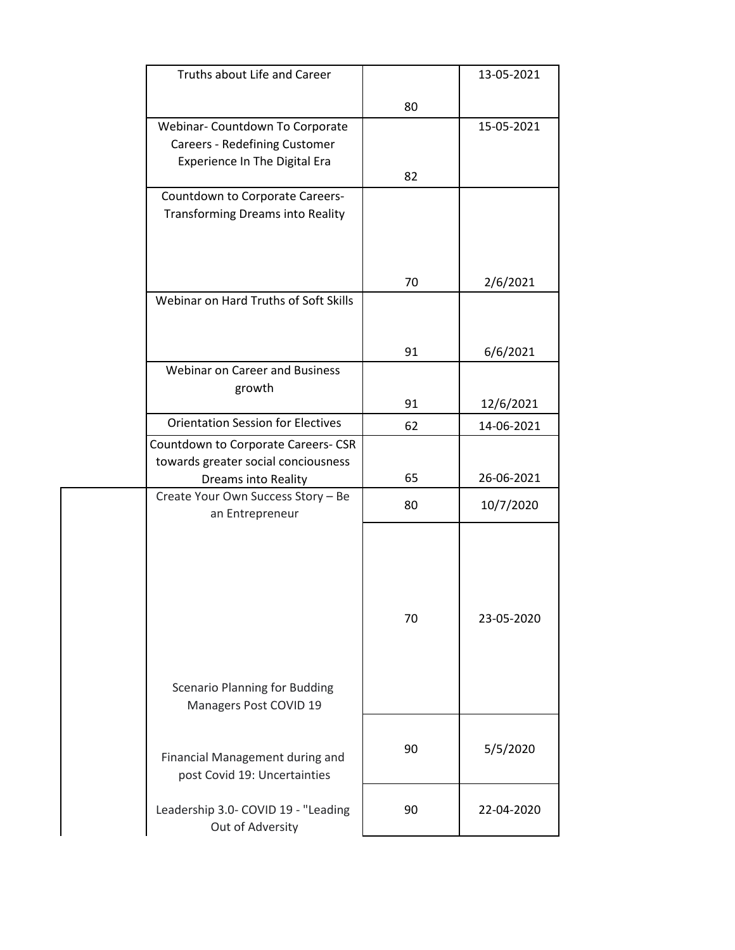| Truths about Life and Career             |    | 13-05-2021 |
|------------------------------------------|----|------------|
|                                          | 80 |            |
| Webinar- Countdown To Corporate          |    | 15-05-2021 |
| Careers - Redefining Customer            |    |            |
| Experience In The Digital Era            |    |            |
|                                          | 82 |            |
| Countdown to Corporate Careers-          |    |            |
| <b>Transforming Dreams into Reality</b>  |    |            |
|                                          |    |            |
|                                          |    |            |
|                                          |    |            |
|                                          | 70 | 2/6/2021   |
| Webinar on Hard Truths of Soft Skills    |    |            |
|                                          |    |            |
|                                          |    |            |
|                                          | 91 | 6/6/2021   |
| <b>Webinar on Career and Business</b>    |    |            |
| growth                                   |    |            |
|                                          | 91 | 12/6/2021  |
| <b>Orientation Session for Electives</b> | 62 | 14-06-2021 |
| Countdown to Corporate Careers- CSR      |    |            |
| towards greater social conciousness      |    |            |
| Dreams into Reality                      | 65 | 26-06-2021 |
| Create Your Own Success Story - Be       | 80 | 10/7/2020  |
| an Entrepreneur                          |    |            |
|                                          |    |            |
|                                          |    |            |
|                                          |    |            |
|                                          |    |            |
|                                          |    |            |
|                                          | 70 | 23-05-2020 |
|                                          |    |            |
|                                          |    |            |
|                                          |    |            |
| <b>Scenario Planning for Budding</b>     |    |            |
| Managers Post COVID 19                   |    |            |
|                                          |    |            |
|                                          | 90 | 5/5/2020   |
| Financial Management during and          |    |            |
| post Covid 19: Uncertainties             |    |            |
| Leadership 3.0- COVID 19 - "Leading      | 90 | 22-04-2020 |
| Out of Adversity                         |    |            |
|                                          |    |            |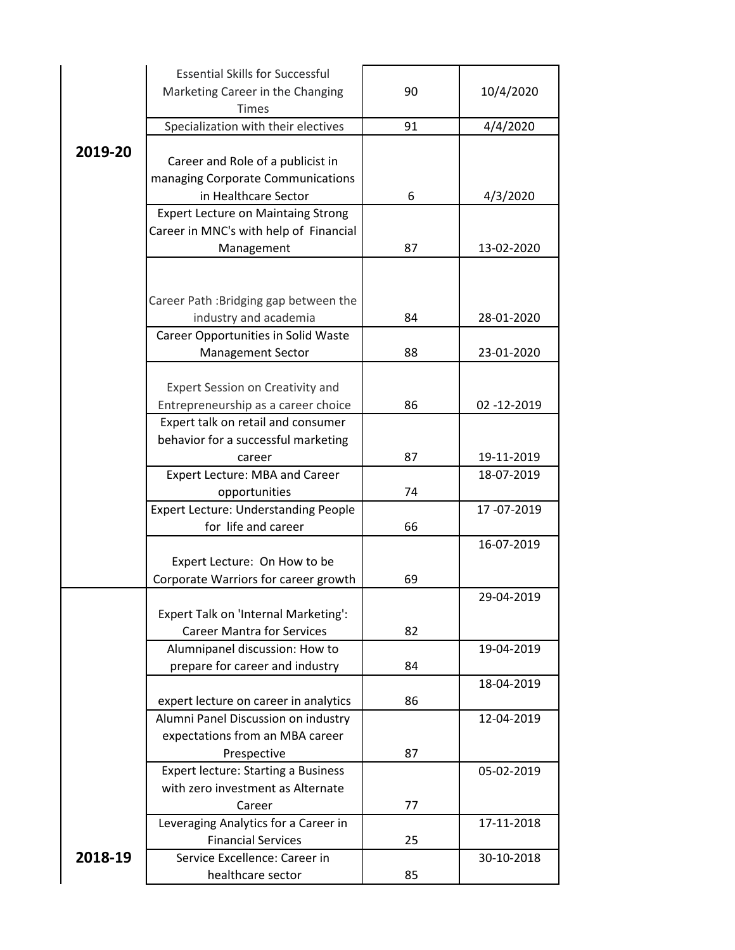|         | <b>Essential Skills for Successful</b>      |    |              |
|---------|---------------------------------------------|----|--------------|
|         | Marketing Career in the Changing            | 90 | 10/4/2020    |
|         | <b>Times</b>                                |    |              |
|         | Specialization with their electives         | 91 | 4/4/2020     |
| 2019-20 |                                             |    |              |
|         | Career and Role of a publicist in           |    |              |
|         | managing Corporate Communications           |    |              |
|         | in Healthcare Sector                        | 6  | 4/3/2020     |
|         | <b>Expert Lecture on Maintaing Strong</b>   |    |              |
|         | Career in MNC's with help of Financial      |    |              |
|         | Management                                  | 87 | 13-02-2020   |
|         |                                             |    |              |
|         |                                             |    |              |
|         | Career Path: Bridging gap between the       |    |              |
|         | industry and academia                       | 84 | 28-01-2020   |
|         | Career Opportunities in Solid Waste         |    |              |
|         | <b>Management Sector</b>                    | 88 | 23-01-2020   |
|         |                                             |    |              |
|         | Expert Session on Creativity and            |    |              |
|         | Entrepreneurship as a career choice         | 86 | 02 -12 -2019 |
|         | Expert talk on retail and consumer          |    |              |
|         | behavior for a successful marketing         |    |              |
|         | career                                      | 87 | 19-11-2019   |
|         | Expert Lecture: MBA and Career              |    | 18-07-2019   |
|         | opportunities                               | 74 |              |
|         | <b>Expert Lecture: Understanding People</b> |    | 17-07-2019   |
|         | for life and career                         | 66 |              |
|         |                                             |    | 16-07-2019   |
|         | Expert Lecture: On How to be                |    |              |
|         | Corporate Warriors for career growth        | 69 |              |
|         |                                             |    | 29-04-2019   |
|         | Expert Talk on 'Internal Marketing':        |    |              |
|         | <b>Career Mantra for Services</b>           | 82 |              |
|         | Alumnipanel discussion: How to              |    | 19-04-2019   |
|         | prepare for career and industry             | 84 |              |
|         |                                             |    | 18-04-2019   |
|         | expert lecture on career in analytics       | 86 |              |
|         | Alumni Panel Discussion on industry         |    | 12-04-2019   |
|         | expectations from an MBA career             |    |              |
|         | Prespective                                 | 87 |              |
|         | <b>Expert lecture: Starting a Business</b>  |    | 05-02-2019   |
|         | with zero investment as Alternate           |    |              |
|         | Career                                      | 77 |              |
|         | Leveraging Analytics for a Career in        |    | 17-11-2018   |
|         | <b>Financial Services</b>                   | 25 |              |
| 2018-19 | Service Excellence: Career in               |    | 30-10-2018   |
|         | healthcare sector                           | 85 |              |
|         |                                             |    |              |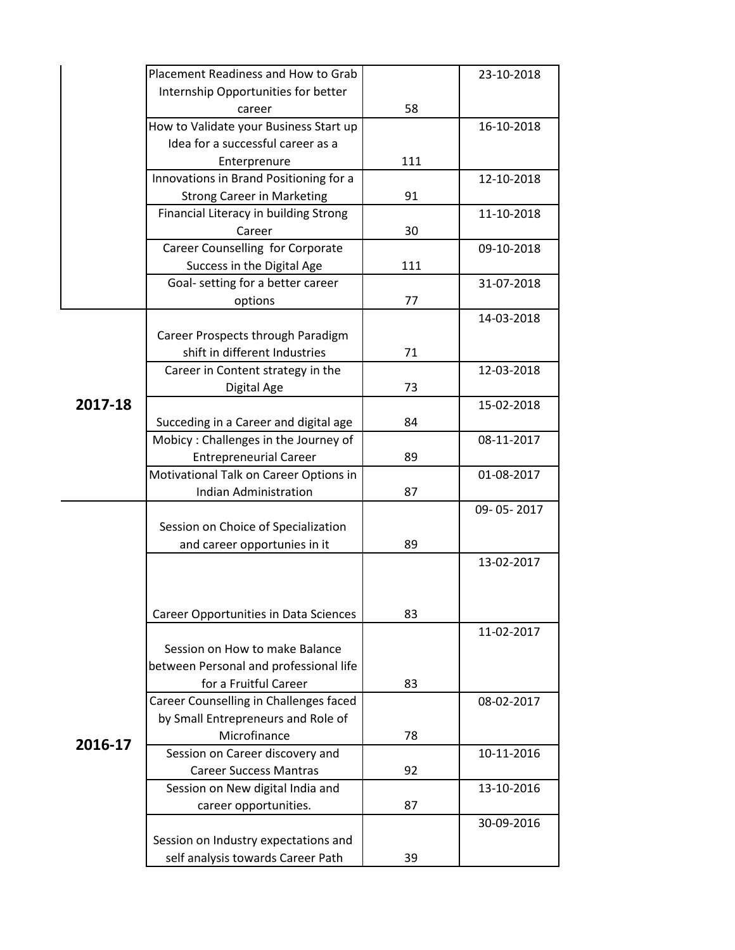|         | Placement Readiness and How to Grab          |     | 23-10-2018 |
|---------|----------------------------------------------|-----|------------|
|         | Internship Opportunities for better          |     |            |
|         | career                                       | 58  |            |
|         | How to Validate your Business Start up       |     | 16-10-2018 |
|         | Idea for a successful career as a            |     |            |
|         | Enterprenure                                 | 111 |            |
|         | Innovations in Brand Positioning for a       |     | 12-10-2018 |
|         | <b>Strong Career in Marketing</b>            | 91  |            |
|         | Financial Literacy in building Strong        |     | 11-10-2018 |
|         | Career                                       | 30  |            |
|         | Career Counselling for Corporate             |     | 09-10-2018 |
|         | Success in the Digital Age                   | 111 |            |
|         | Goal- setting for a better career            |     | 31-07-2018 |
|         | options                                      | 77  |            |
|         |                                              |     | 14-03-2018 |
|         | Career Prospects through Paradigm            |     |            |
|         | shift in different Industries                | 71  |            |
|         | Career in Content strategy in the            |     | 12-03-2018 |
|         | Digital Age                                  | 73  |            |
| 2017-18 |                                              |     | 15-02-2018 |
|         | Succeding in a Career and digital age        | 84  |            |
|         | Mobicy: Challenges in the Journey of         |     | 08-11-2017 |
|         | <b>Entrepreneurial Career</b>                | 89  |            |
|         | Motivational Talk on Career Options in       |     | 01-08-2017 |
|         | <b>Indian Administration</b>                 | 87  |            |
|         |                                              |     | 09-05-2017 |
|         | Session on Choice of Specialization          |     |            |
|         | and career opportunies in it                 | 89  |            |
|         |                                              |     | 13-02-2017 |
|         |                                              |     |            |
|         |                                              |     |            |
|         | <b>Career Opportunities in Data Sciences</b> | 83  |            |
|         |                                              |     | 11-02-2017 |
|         | Session on How to make Balance               |     |            |
|         | between Personal and professional life       |     |            |
|         | for a Fruitful Career                        | 83  |            |
|         | Career Counselling in Challenges faced       |     | 08-02-2017 |
|         | by Small Entrepreneurs and Role of           |     |            |
|         | Microfinance                                 | 78  |            |
| 2016-17 | Session on Career discovery and              |     | 10-11-2016 |
|         | <b>Career Success Mantras</b>                | 92  |            |
|         | Session on New digital India and             |     | 13-10-2016 |
|         | career opportunities.                        | 87  |            |
|         |                                              |     | 30-09-2016 |
|         | Session on Industry expectations and         |     |            |
|         | self analysis towards Career Path            | 39  |            |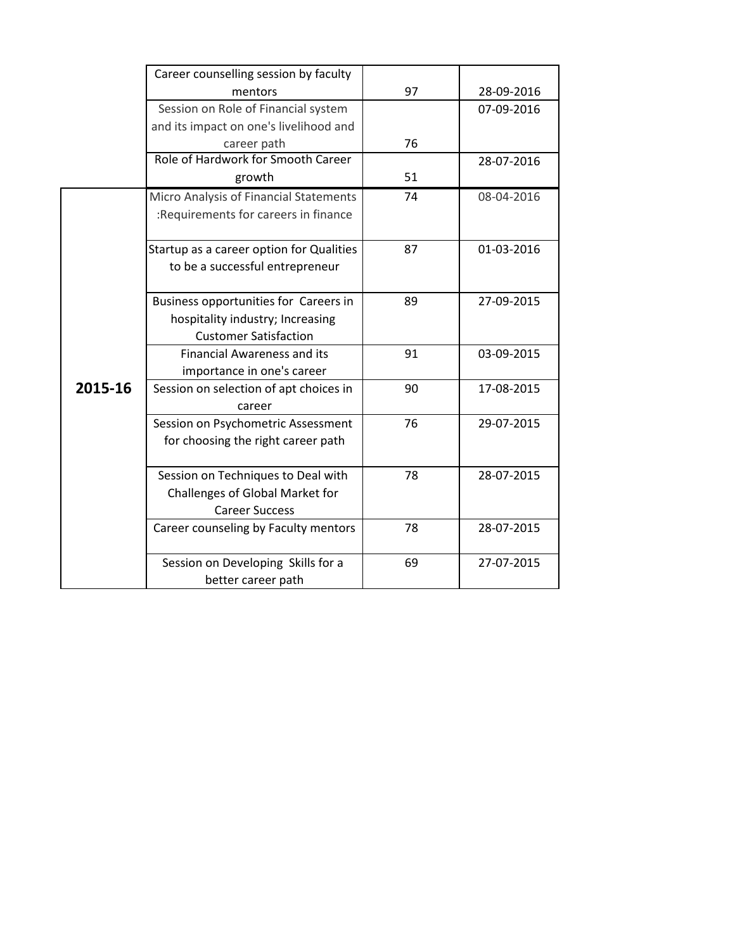|         | Career counselling session by faculty    |    |            |
|---------|------------------------------------------|----|------------|
|         | mentors                                  | 97 | 28-09-2016 |
|         | Session on Role of Financial system      |    | 07-09-2016 |
|         | and its impact on one's livelihood and   |    |            |
|         | career path                              | 76 |            |
|         | Role of Hardwork for Smooth Career       |    | 28-07-2016 |
|         | growth                                   | 51 |            |
|         | Micro Analysis of Financial Statements   | 74 | 08-04-2016 |
|         | :Requirements for careers in finance     |    |            |
|         |                                          |    |            |
|         | Startup as a career option for Qualities | 87 | 01-03-2016 |
|         | to be a successful entrepreneur          |    |            |
|         |                                          |    |            |
|         | Business opportunities for Careers in    | 89 | 27-09-2015 |
|         | hospitality industry; Increasing         |    |            |
|         | <b>Customer Satisfaction</b>             |    |            |
|         | <b>Financial Awareness and its</b>       | 91 | 03-09-2015 |
|         | importance in one's career               |    |            |
| 2015-16 | Session on selection of apt choices in   | 90 | 17-08-2015 |
|         | career                                   |    |            |
|         | Session on Psychometric Assessment       | 76 | 29-07-2015 |
|         | for choosing the right career path       |    |            |
|         |                                          |    |            |
|         | Session on Techniques to Deal with       | 78 | 28-07-2015 |
|         | Challenges of Global Market for          |    |            |
|         | <b>Career Success</b>                    |    |            |
|         | Career counseling by Faculty mentors     | 78 | 28-07-2015 |
|         |                                          |    |            |
|         | Session on Developing Skills for a       | 69 | 27-07-2015 |
|         | better career path                       |    |            |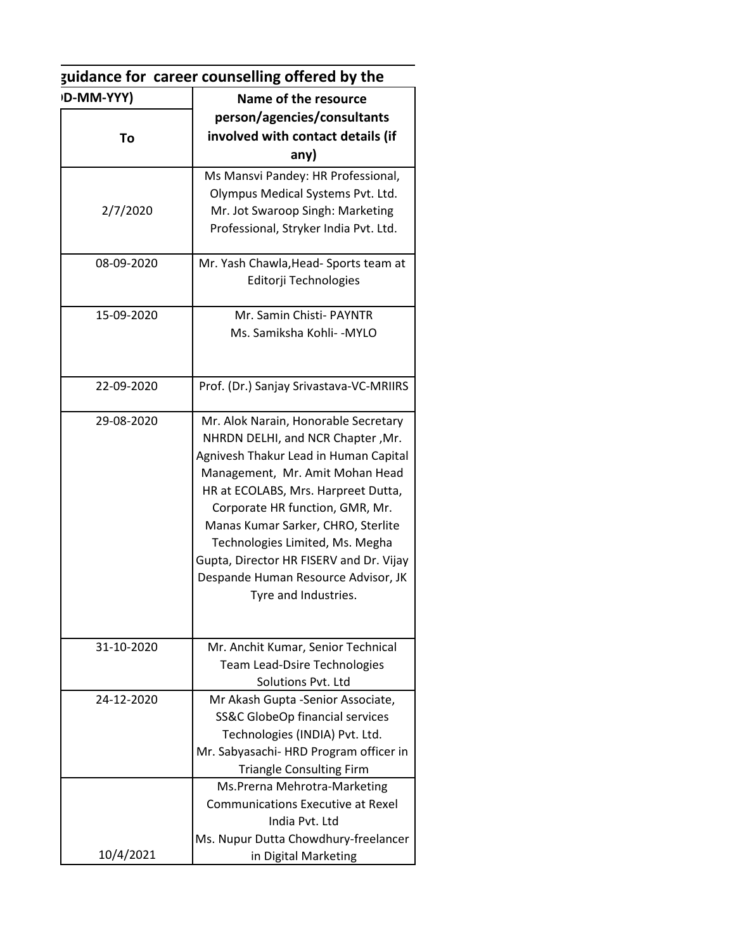## **<u>Buidance for career counselling offered by the</u>**

| D-MM-YYY)  | Name of the resource                     |
|------------|------------------------------------------|
|            | person/agencies/consultants              |
| Τo         | involved with contact details (if        |
|            | any)                                     |
|            | Ms Mansvi Pandey: HR Professional,       |
|            | Olympus Medical Systems Pvt. Ltd.        |
| 2/7/2020   | Mr. Jot Swaroop Singh: Marketing         |
|            | Professional, Stryker India Pvt. Ltd.    |
| 08-09-2020 | Mr. Yash Chawla, Head- Sports team at    |
|            | Editorji Technologies                    |
| 15-09-2020 | Mr. Samin Chisti- PAYNTR                 |
|            | Ms. Samiksha Kohli- - MYLO               |
| 22-09-2020 | Prof. (Dr.) Sanjay Srivastava-VC-MRIIRS  |
|            |                                          |
| 29-08-2020 | Mr. Alok Narain, Honorable Secretary     |
|            | NHRDN DELHI, and NCR Chapter, Mr.        |
|            | Agnivesh Thakur Lead in Human Capital    |
|            | Management, Mr. Amit Mohan Head          |
|            | HR at ECOLABS, Mrs. Harpreet Dutta,      |
|            | Corporate HR function, GMR, Mr.          |
|            | Manas Kumar Sarker, CHRO, Sterlite       |
|            | Technologies Limited, Ms. Megha          |
|            | Gupta, Director HR FISERV and Dr. Vijay  |
|            | Despande Human Resource Advisor, JK      |
|            | Tyre and Industries.                     |
|            |                                          |
| 31-10-2020 | Mr. Anchit Kumar, Senior Technical       |
|            | Team Lead-Dsire Technologies             |
|            | Solutions Pvt. Ltd                       |
| 24-12-2020 | Mr Akash Gupta -Senior Associate,        |
|            | SS&C GlobeOp financial services          |
|            | Technologies (INDIA) Pvt. Ltd.           |
|            | Mr. Sabyasachi- HRD Program officer in   |
|            | <b>Triangle Consulting Firm</b>          |
|            | Ms. Prerna Mehrotra-Marketing            |
|            | <b>Communications Executive at Rexel</b> |
|            | India Pyt. Ltd                           |
|            | Ms. Nupur Dutta Chowdhury-freelancer     |
| 10/4/2021  | in Digital Marketing                     |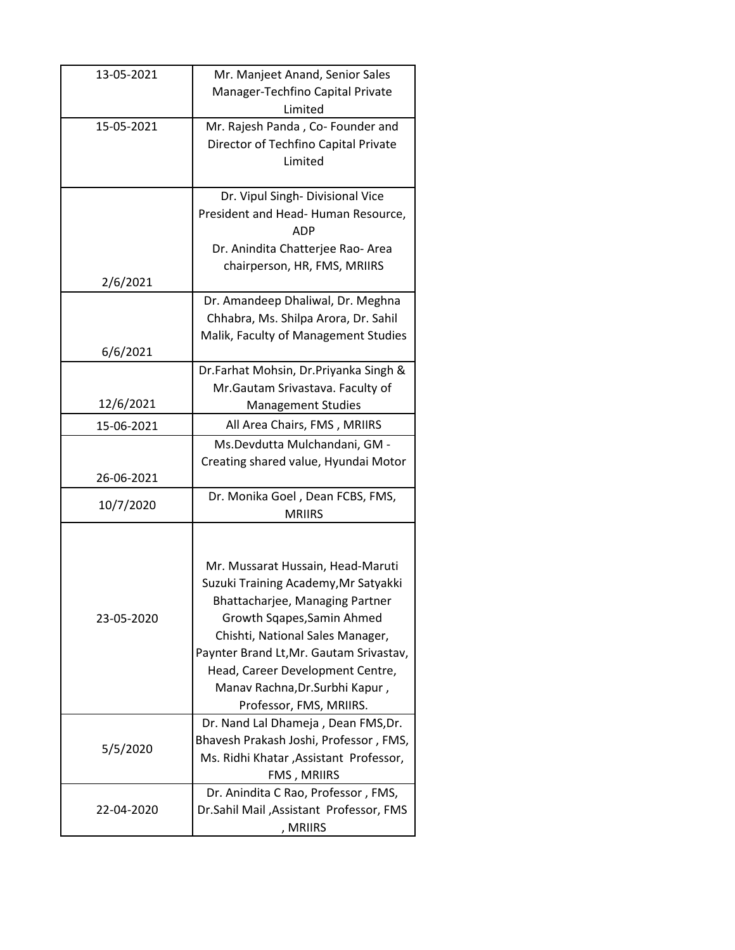| 13-05-2021 | Mr. Manjeet Anand, Senior Sales                                           |
|------------|---------------------------------------------------------------------------|
|            | Manager-Techfino Capital Private<br>Limited                               |
| 15-05-2021 | Mr. Rajesh Panda, Co- Founder and                                         |
|            | Director of Techfino Capital Private                                      |
|            | Limited                                                                   |
|            | Dr. Vipul Singh- Divisional Vice                                          |
|            | President and Head- Human Resource,<br>ADP                                |
|            | Dr. Anindita Chatterjee Rao- Area                                         |
|            | chairperson, HR, FMS, MRIIRS                                              |
| 2/6/2021   |                                                                           |
|            | Dr. Amandeep Dhaliwal, Dr. Meghna<br>Chhabra, Ms. Shilpa Arora, Dr. Sahil |
|            | Malik, Faculty of Management Studies                                      |
| 6/6/2021   |                                                                           |
|            | Dr.Farhat Mohsin, Dr.Priyanka Singh &                                     |
|            | Mr. Gautam Srivastava. Faculty of                                         |
| 12/6/2021  | <b>Management Studies</b>                                                 |
| 15-06-2021 | All Area Chairs, FMS, MRIIRS                                              |
|            | Ms.Devdutta Mulchandani, GM -                                             |
| 26-06-2021 | Creating shared value, Hyundai Motor                                      |
| 10/7/2020  | Dr. Monika Goel, Dean FCBS, FMS,                                          |
|            | <b>MRIIRS</b>                                                             |
|            |                                                                           |
|            | Mr. Mussarat Hussain, Head-Maruti                                         |
|            | Suzuki Training Academy, Mr Satyakki                                      |
|            | Bhattacharjee, Managing Partner                                           |
| 23-05-2020 | Growth Sqapes, Samin Ahmed                                                |
|            | Chishti, National Sales Manager,                                          |
|            | Paynter Brand Lt, Mr. Gautam Srivastav,                                   |
|            | Head, Career Development Centre,                                          |
|            | Manav Rachna, Dr. Surbhi Kapur,                                           |
|            | Professor, FMS, MRIIRS.<br>Dr. Nand Lal Dhameja, Dean FMS, Dr.            |
|            | Bhavesh Prakash Joshi, Professor, FMS,                                    |
| 5/5/2020   | Ms. Ridhi Khatar , Assistant Professor,                                   |
|            | FMS, MRIIRS                                                               |
|            | Dr. Anindita C Rao, Professor, FMS,                                       |
| 22-04-2020 | Dr.Sahil Mail, Assistant Professor, FMS                                   |
|            | , MRIIRS                                                                  |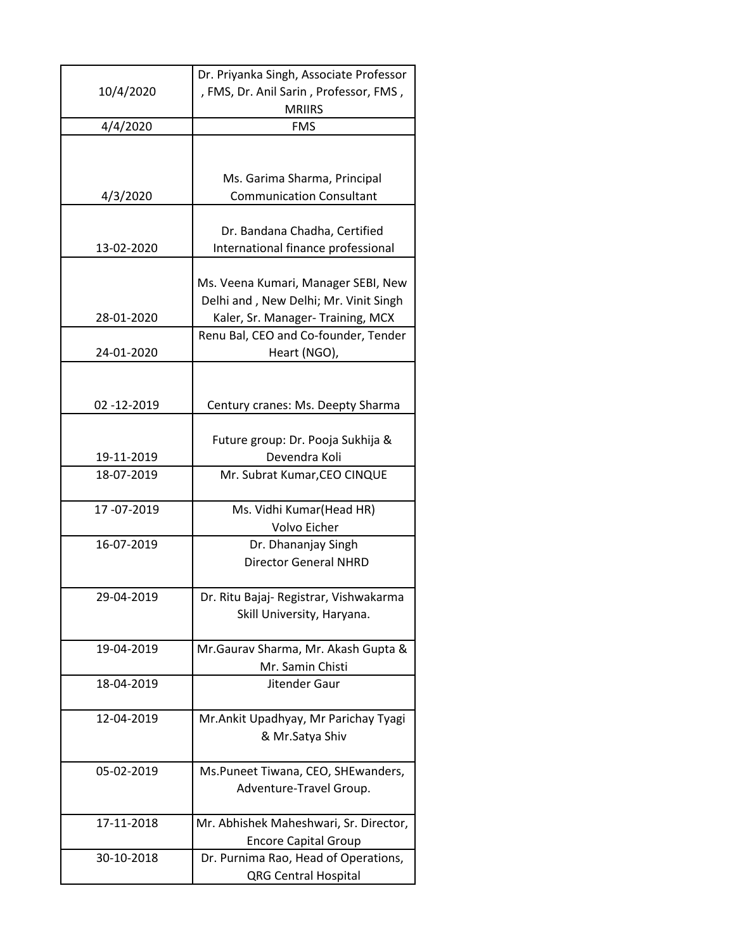|              | Dr. Priyanka Singh, Associate Professor             |
|--------------|-----------------------------------------------------|
| 10/4/2020    | , FMS, Dr. Anil Sarin, Professor, FMS,              |
|              | <b>MRIIRS</b>                                       |
| 4/4/2020     | <b>FMS</b>                                          |
|              |                                                     |
|              |                                                     |
|              | Ms. Garima Sharma, Principal                        |
| 4/3/2020     | <b>Communication Consultant</b>                     |
|              |                                                     |
|              | Dr. Bandana Chadha, Certified                       |
| 13-02-2020   | International finance professional                  |
|              |                                                     |
|              | Ms. Veena Kumari, Manager SEBI, New                 |
|              | Delhi and, New Delhi; Mr. Vinit Singh               |
| 28-01-2020   | Kaler, Sr. Manager- Training, MCX                   |
|              | Renu Bal, CEO and Co-founder, Tender                |
| 24-01-2020   | Heart (NGO),                                        |
|              |                                                     |
|              |                                                     |
| 02 -12 -2019 | Century cranes: Ms. Deepty Sharma                   |
|              |                                                     |
|              | Future group: Dr. Pooja Sukhija &                   |
| 19-11-2019   | Devendra Koli                                       |
| 18-07-2019   | Mr. Subrat Kumar, CEO CINQUE                        |
|              |                                                     |
| 17-07-2019   | Ms. Vidhi Kumar(Head HR)                            |
| 16-07-2019   | Volvo Eicher                                        |
|              | Dr. Dhananjay Singh<br><b>Director General NHRD</b> |
|              |                                                     |
| 29-04-2019   | Dr. Ritu Bajaj- Registrar, Vishwakarma              |
|              | Skill University, Haryana.                          |
|              |                                                     |
| 19-04-2019   | Mr. Gaurav Sharma, Mr. Akash Gupta &                |
|              | Mr. Samin Chisti                                    |
| 18-04-2019   | Jitender Gaur                                       |
|              |                                                     |
| 12-04-2019   | Mr.Ankit Upadhyay, Mr Parichay Tyagi                |
|              | & Mr.Satya Shiv                                     |
|              |                                                     |
| 05-02-2019   | Ms.Puneet Tiwana, CEO, SHEwanders,                  |
|              | Adventure-Travel Group.                             |
|              |                                                     |
| 17-11-2018   | Mr. Abhishek Maheshwari, Sr. Director,              |
|              | <b>Encore Capital Group</b>                         |
| 30-10-2018   | Dr. Purnima Rao, Head of Operations,                |
|              | <b>QRG Central Hospital</b>                         |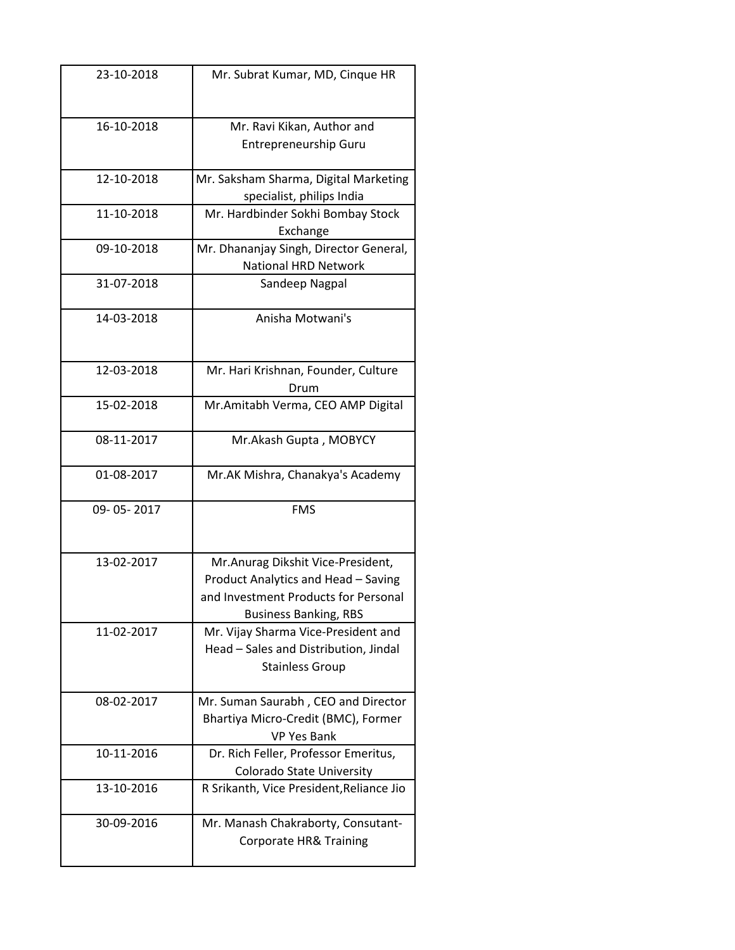| 23-10-2018 | Mr. Subrat Kumar, MD, Cinque HR                                                                                                                  |
|------------|--------------------------------------------------------------------------------------------------------------------------------------------------|
| 16-10-2018 | Mr. Ravi Kikan, Author and<br>Entrepreneurship Guru                                                                                              |
| 12-10-2018 | Mr. Saksham Sharma, Digital Marketing<br>specialist, philips India                                                                               |
| 11-10-2018 | Mr. Hardbinder Sokhi Bombay Stock<br>Exchange                                                                                                    |
| 09-10-2018 | Mr. Dhananjay Singh, Director General,<br><b>National HRD Network</b>                                                                            |
| 31-07-2018 | Sandeep Nagpal                                                                                                                                   |
| 14-03-2018 | Anisha Motwani's                                                                                                                                 |
| 12-03-2018 | Mr. Hari Krishnan, Founder, Culture<br>Drum                                                                                                      |
| 15-02-2018 | Mr.Amitabh Verma, CEO AMP Digital                                                                                                                |
| 08-11-2017 | Mr.Akash Gupta, MOBYCY                                                                                                                           |
| 01-08-2017 | Mr.AK Mishra, Chanakya's Academy                                                                                                                 |
| 09-05-2017 | <b>FMS</b>                                                                                                                                       |
| 13-02-2017 | Mr.Anurag Dikshit Vice-President,<br>Product Analytics and Head - Saving<br>and Investment Products for Personal<br><b>Business Banking, RBS</b> |
| 11-02-2017 | Mr. Vijay Sharma Vice-President and<br>Head - Sales and Distribution, Jindal<br><b>Stainless Group</b>                                           |
| 08-02-2017 | Mr. Suman Saurabh, CEO and Director<br>Bhartiya Micro-Credit (BMC), Former<br><b>VP Yes Bank</b>                                                 |
| 10-11-2016 | Dr. Rich Feller, Professor Emeritus,<br><b>Colorado State University</b>                                                                         |
| 13-10-2016 | R Srikanth, Vice President, Reliance Jio                                                                                                         |
| 30-09-2016 | Mr. Manash Chakraborty, Consutant-<br><b>Corporate HR&amp; Training</b>                                                                          |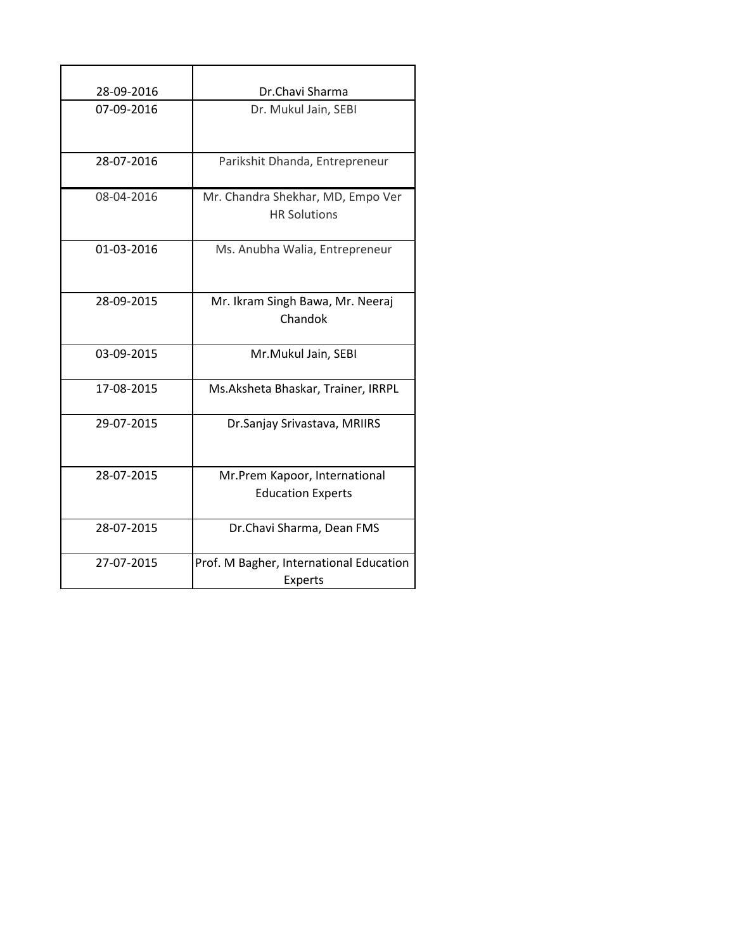| 28-09-2016 | Dr.Chavi Sharma                                           |
|------------|-----------------------------------------------------------|
|            |                                                           |
| 07-09-2016 | Dr. Mukul Jain, SEBI                                      |
| 28-07-2016 | Parikshit Dhanda, Entrepreneur                            |
| 08-04-2016 | Mr. Chandra Shekhar, MD, Empo Ver<br><b>HR Solutions</b>  |
| 01-03-2016 | Ms. Anubha Walia, Entrepreneur                            |
| 28-09-2015 | Mr. Ikram Singh Bawa, Mr. Neeraj<br>Chandok               |
| 03-09-2015 | Mr.Mukul Jain, SEBI                                       |
| 17-08-2015 | Ms.Aksheta Bhaskar, Trainer, IRRPL                        |
| 29-07-2015 | Dr.Sanjay Srivastava, MRIIRS                              |
| 28-07-2015 | Mr.Prem Kapoor, International<br><b>Education Experts</b> |
| 28-07-2015 | Dr.Chavi Sharma, Dean FMS                                 |
| 27-07-2015 | Prof. M Bagher, International Education<br>Experts        |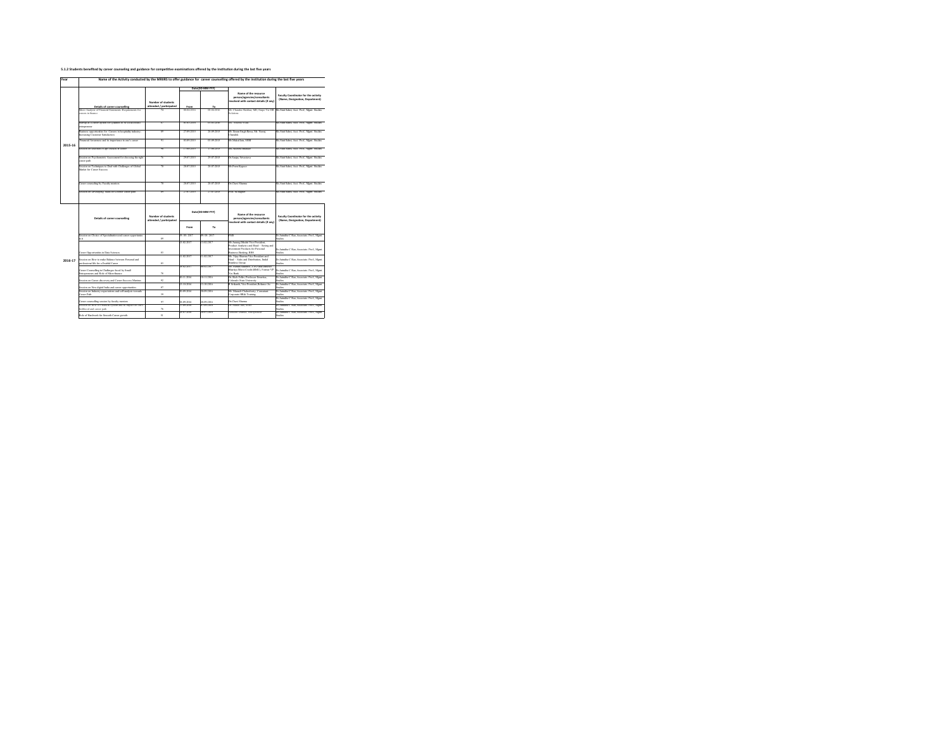## 5.1.2 Students benefited by career counseling and guidance for competitive examinations offered by the Institution during the last five years

**Year Name of the Activity conducted by the MRIIRS to offer guidance for career counselling offered by the institution during the last five years** 

|         |                                                                                                             |                                               |                          | Date(DD-MM-YYY)          |                                                                                                                                           |                                                                                                     |
|---------|-------------------------------------------------------------------------------------------------------------|-----------------------------------------------|--------------------------|--------------------------|-------------------------------------------------------------------------------------------------------------------------------------------|-----------------------------------------------------------------------------------------------------|
|         | Details of career counselling                                                                               | Number of students<br>attended / participated | From                     | To                       | Name of the resource<br>person/apercies/consultants<br>involved with contact details (if any)                                             | Faculty Coordinator for the activity<br>(Name, Designation, Department)                             |
|         | Micro Analysis of Financial Statements :Requirements for                                                    |                                               | 08-04-2016               | 08-04-2016               |                                                                                                                                           | Mr. Chandra Shekhar, MD, Empo Ver HR. Mr. Stati Sahni, Aust. Prof.; Ment. Studies                   |
|         | careers in finance                                                                                          |                                               |                          |                          | Solutions                                                                                                                                 |                                                                                                     |
|         | Startup as a career option for Qualities to be a successful<br>atrossex                                     | $\overline{S}$                                | 01-03-2016               | 01-03-2016               | Mr. Azabba Wala                                                                                                                           | Mr. Stati Salati, Avst. Prof., Meret. Studies                                                       |
|         | Basiness opportunities for Careers in hospitality industry.<br>Increasing Customer Satisfaction             | $\overline{39}$                               | 27-09-2015               | 28-09-2015               | Mr. Brazz Singh Baya, Mr. Negrai<br><b>Tundok</b>                                                                                         | Mr. Stati Salati, Avst. Prof., Meret. Studies                                                       |
| 2015-16 | Financial Avarences and its importance in one's career                                                      | $\overline{\phantom{a}}$                      | 03-09-2015               | 03-09-2015               | Mr. Makul Jain, S220                                                                                                                      | Mr. Stati Salesi, Avst. Prof., Meret. Studies                                                       |
|         | Session on selection of apt choices in career                                                               | $\alpha$                                      | 17.06.2015               | 17.06.3015               | Mr. Abshers Muscher                                                                                                                       | Mr. Stati Salesi, Avst. Prof.; Mgrat. Studies                                                       |
|         | Session on Psychometric Assessment for choosing the right<br>career path                                    | 76                                            | 29-07-2015               | 29-07-2015               | Dr. Saniaw Scivantava                                                                                                                     | Mr. Stati Salati, Avst. Prof., Meret. Studies                                                       |
|         | Session on Techniques to Deal with Challenges of Global<br>Market for Career Success                        | 78                                            | 26,02,2015               | 26.07.2015               | Mr. Prem Kapcee                                                                                                                           | Mr. Stati Salati, Avst. Prof., Meret. Studies                                                       |
|         | Cancer counseling by Faculty menton                                                                         | ×                                             | 28-07-2015               | 28-07-2015               | Dr. Chavi Sharma                                                                                                                          | Mr. Stati Salati, Avst. Prof., Meret. Studies                                                       |
|         | Session on Developing Skills for a better career path                                                       | n <sub>2</sub>                                | 27.07.2015               | 27-07-2015               | Prof. M Basbar                                                                                                                            | Mr. Stati Salati, Avst. Prof., Maret. Studies                                                       |
|         |                                                                                                             |                                               |                          |                          |                                                                                                                                           |                                                                                                     |
|         | Details of career counselling                                                                               | Number of students<br>attended / participated |                          | Date(DD-MM-YYY)          | Name of the resource<br>person/agencies/consultants                                                                                       | Faculty Coordinator for the activity                                                                |
|         |                                                                                                             |                                               | <b>Ernes</b>             | Tn.                      | involved with contact details (if any)                                                                                                    | (Name, Designation, Department)                                                                     |
|         | Session on Choice of Specialization and career opportunies<br>m in                                          | $\overline{3}$                                | 09-05-2017               | 09-05-2017               | 125                                                                                                                                       | Dr.Anindža C Rao, Associate, Prof., Mgrz.<br>Studios                                                |
|         | Cancer Opportunities in Data Sciences                                                                       | 83                                            | 13-02-2017               | 13-02-2017               | Mr. Anano Diohit Vice-President,<br>Product Analytics and Head - Saving and<br>Investment Products for Personal<br>lociness Banking, R.BS | Dr.Anindža C Rao, Associate, Prof., Mann.<br>Stadios                                                |
| 2016-17 | Souriers on Hour to make Balance between Personal and<br>redessional life for a Pruitful Career             | 83                                            | 11-02-2017               | 11-02-2017               | Mr. Viay Sharma Vice-President and<br>Head - Sales and Distribution, Jindal<br>Stainless Group                                            | Dr.Anindita C Rao, Associate. Prof., Mgrat.<br>Studios                                              |
|         | Cateer Counselling in Challenges faced by Small<br>Entrepreneurs and Role of Microfinance                   | $\mathbf{R}$                                  | 08-02-2017               | 08-02-2017               | Mr. Sunun Saurabh . CEO and Director<br>Yes Bank                                                                                          | Bhariya Micro-Credit (BMC), Former VP Dr.Anindita C Rao Associate, Prof., Mann.<br>Studios          |
|         | Session on Career discovery and Career Success Mantras.                                                     | q2                                            | 10-11-2016               | 10-11-2016               | Dr. Rich Feller, Professor Emeritas.<br>Colorado State University                                                                         | Dr.Anindita C Rao, Associate. Prof., Mgret.<br>Studios                                              |
|         | Session on New digital India and career opportunities.                                                      | $\mathbf{x}$                                  | 13-30-2016               | 13-30-2016               | R Sekanft, Vice President Relatice Jio                                                                                                    | Dr.Anindža C Rao, Associate, Prof., Mang.<br>Stadius                                                |
|         | Soujon on Industry expectations and self analysis towards.<br>Cancer Path                                   | $\mathfrak{p}$                                | 30-09-2016               | 30-09-2016               | Mr. Manash Chakraborty, Consutant-<br>Corporate HR& Training                                                                              | Dr.Anindža C Rao, Associate, Prof., Mann.<br>Studios                                                |
|         | Categr cosmoding session by faculty mentors.<br>Session on Role of Financial system and its impact on one's | 97                                            | 28-09-2016<br>07-09-2016 | 28-09-2016<br>07-09-2016 | Dr. Chavi Sharma<br>Dr. Makul Jain, S120                                                                                                  | Dr.Anindita C Rao, Associate. Prof., Mgret.<br>Stadios<br>Dr.Anindža C Rao, Associate, Prof., Mgrz. |
|         | frelhood and career path                                                                                    | $\infty$                                      | 2010/2016                | 28-07-2016               | ratola Diazda, Entrecenzar                                                                                                                | <b>Condice</b><br>Dr.Anindža C Rao Associate, Prof., Marga                                          |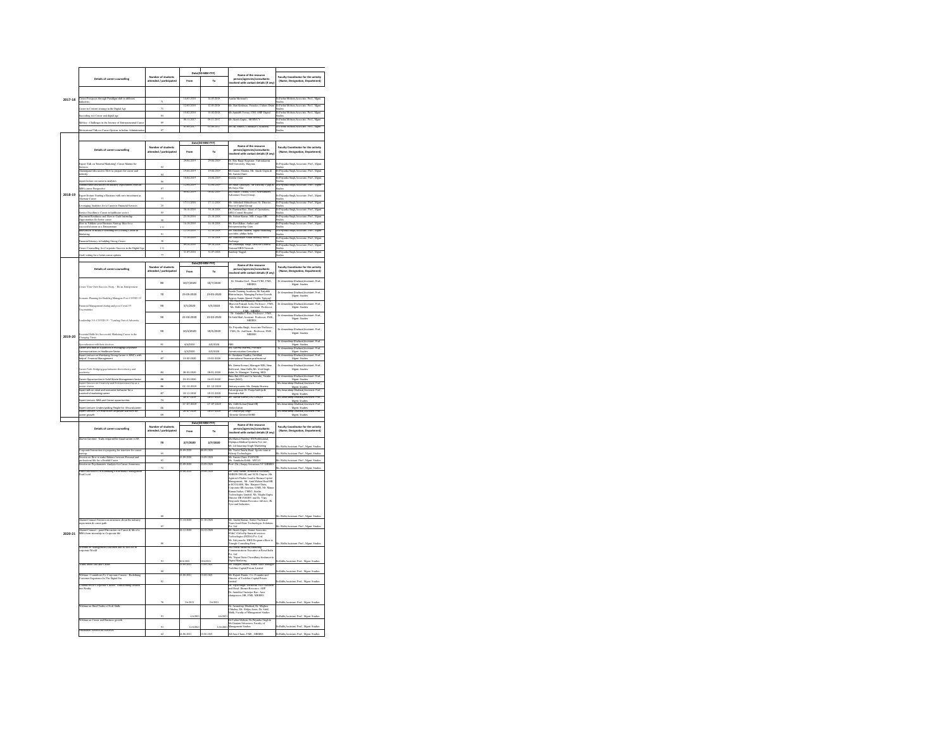|         |                                                                                                                           | of sts                                              |                          | Date(DD-MM-YYY)          | e of the resource<br>Na                                                                                                                                                                                                                    | <b>Faculty Coordinator for the activity<br/>(Name, Designation, Department)</b> |
|---------|---------------------------------------------------------------------------------------------------------------------------|-----------------------------------------------------|--------------------------|--------------------------|--------------------------------------------------------------------------------------------------------------------------------------------------------------------------------------------------------------------------------------------|---------------------------------------------------------------------------------|
|         | Details of career counselling                                                                                             | attended / participated                             | From                     | To.                      | person/agencies/consultants<br>olved with contact details (if any)                                                                                                                                                                         |                                                                                 |
|         |                                                                                                                           |                                                     |                          |                          |                                                                                                                                                                                                                                            |                                                                                 |
| 2017-18 | stien skil is d<br>sarb Pan                                                                                               |                                                     | 14.03.2019               |                          |                                                                                                                                                                                                                                            | sciate. Prof., Me                                                               |
|         | sdast                                                                                                                     | $\overline{\mathbf{u}}$                             | 12-03-2019               | 12-03-2018               | r. Hari Krishran, Founder, Cul                                                                                                                                                                                                             | stic<br>at Mehrin Associate, Prof., Mem                                         |
|         |                                                                                                                           | j,                                                  |                          |                          |                                                                                                                                                                                                                                            | X Far<br>Itadio<br>kB<br>c. Prof., M                                            |
|         | is e                                                                                                                      |                                                     | $m_{11}$                 | 06.11.2011               |                                                                                                                                                                                                                                            | ≂                                                                               |
|         | Challenges in the Jc                                                                                                      | 30                                                  | 01-08-2017               | 01-08-201                | <b>CAK Midata Chanakya's A</b>                                                                                                                                                                                                             | ate: Prof., Ma                                                                  |
|         |                                                                                                                           | $\overline{S}$                                      |                          |                          |                                                                                                                                                                                                                                            | <b>Radio</b>                                                                    |
|         |                                                                                                                           |                                                     |                          | m)                       |                                                                                                                                                                                                                                            |                                                                                 |
|         | Details of career counselling                                                                                             | Number of students                                  |                          |                          | Name of the resource<br>person/agencies/consultants                                                                                                                                                                                        | <b>Faculty Coordinator for the activity</b>                                     |
|         |                                                                                                                           | ttended / participated                              | from                     | To                       | (red with contact details (if any)                                                                                                                                                                                                         | (Name, Designation, Department)                                                 |
|         | pert Talk on "Internal Marketing": Career Mantra for                                                                      |                                                     |                          |                          | k. Rita Bajaj-Registrar, V<br>kill University, Haryans.                                                                                                                                                                                    | anka Singh, Associate. Prof., Mgm                                               |
|         | vices<br>emipanel discussion: How to propase for career and                                                               | ś2                                                  | 19-04-2019               | 10.04.2019               | .<br>County Sharma, Mr. Akash 6                                                                                                                                                                                                            | erazars<br>Jr.Priyanka Singh, Associate: Prof., Mgr                             |
|         |                                                                                                                           | š4                                                  | 18-04-2019               | 18-04-2011               | & Samin Chies<br>keder Gaur                                                                                                                                                                                                                | stic<br>k Priyaska Singh, Associate<br>India                                    |
|         | n on industry expectations fi                                                                                             | 56<br>è                                             |                          |                          | Ipadhyay, I                                                                                                                                                                                                                                | t Priyanka Singh, Associa                                                       |
| 2018-19 | bpert lecture: Starting a Basiness with zero inves                                                                        |                                                     |                          |                          | <b>uneet Treana, CEO, 5</b><br>mtare-Travel Group.                                                                                                                                                                                         | le Privardo Singh Associate, Prof., Ment                                        |
|         | te Career                                                                                                                 | 77                                                  |                          |                          |                                                                                                                                                                                                                                            | uas<br>Chi                                                                      |
|         | taging Analytics for a Canter in Financial Set                                                                            | 25                                                  |                          |                          | .<br>In Abbanda Mahashu<br>In Capital Group                                                                                                                                                                                                |                                                                                 |
|         |                                                                                                                           | ä                                                   | 21, 10, 2019             | 21.10.2019               | e. Farmini Kato, rama ve vijesana<br>(RG Cantral Hospital<br>(r. Subest Kumar, MD, Cinque Hi                                                                                                                                               |                                                                                 |
|         | anancu<br>x for be<br>Validate your Basiness Start up Idea for a                                                          |                                                     |                          |                          | Ravi Kikan, Autho<br>Ingenneamhip Gum                                                                                                                                                                                                      | le Priyanka Singh                                                               |
|         |                                                                                                                           | m                                                   |                          |                          |                                                                                                                                                                                                                                            |                                                                                 |
|         |                                                                                                                           |                                                     |                          |                          | cialist, philips India<br>Monthia due Politic                                                                                                                                                                                              |                                                                                 |
|         | scial Literacy in building Strong Ca                                                                                      | 33                                                  |                          |                          | hange<br>Thanasjay Singh, Da<br>Thanasjay Singh, Da                                                                                                                                                                                        | di<br>Dr.Priyanka Singh, Ax                                                     |
|         | melling for Corporate Success in the Digital                                                                              | $^{111}$<br>77                                      | 11.05331                 |                          | lational HRD Network                                                                                                                                                                                                                       | itadies<br>3r. Priyanka Singh, A                                                |
|         |                                                                                                                           |                                                     |                          |                          |                                                                                                                                                                                                                                            |                                                                                 |
|         | Details of career counselling                                                                                             | <b>Number of students</b><br>ittended / participate |                          | Date(DD-MM-YYY)          | Name of the resource<br>person/agencies/consultants<br>rolved with contact details (if any)                                                                                                                                                | <b>Faculty Coordinator for the activity<br/>(Name, Designation, Department)</b> |
|         |                                                                                                                           |                                                     | From                     | To                       |                                                                                                                                                                                                                                            |                                                                                 |
|         |                                                                                                                           | 80                                                  | 10/7/2020                | 10/7/2020                | Dr. Monka God , Dam FCBS, FMS, $\operatorname{MEBES}$                                                                                                                                                                                      | Dr.Amandeep Dhalwal, Assistant, Prof.,<br>Mgmt, Studies                         |
|         | te Your Own Success Story - Be an Entrepe                                                                                 |                                                     |                          |                          |                                                                                                                                                                                                                                            | Dr.Ar                                                                           |
|         | io Planning for Badding Managers Post COVID 19                                                                            | $\overline{10}$                                     | 23-05-2020               | 23-05-2020               | unki Training Academy,Mr Satyakki<br>hattacharjae, Managing Partner Growth                                                                                                                                                                 | ep Dhalwal, Assistant, Prof.,<br>Mgmt, Studies                                  |
|         | scial Management during and post Covid 19:                                                                                | $^{50}$                                             | 5/5/2020                 | 5/5/2020                 | Suppor Samin Ahmed Chichti, National<br>166: Suna Luctuanuspi, Lisan F585, Lt.<br>Harvonh Pauland, Josian Luctuanuspi, Lisan F585, Lt.<br>Mac Richard, Profession, PMS, Pauland Pauland, Pauland Pauland.                                  | Dr.Amandeep Dhalwal, Assistant, Prof.,<br>Mgmt, Studies                         |
|         |                                                                                                                           |                                                     |                          |                          |                                                                                                                                                                                                                                            | Dr.Ar<br>tant. Prof.,                                                           |
|         | ship 3.0- COVID 19 - "Leading Out of Adve                                                                                 | 90                                                  | 22-04-2020               | 22-04-2020               | Dr. Anisdia C. Rao, Professor , FMS,<br>Dr. Sahil Mail , Assistant Professor, FMS<br>MREIRS                                                                                                                                                | ep Dhallwal, Assist<br>Mgmt, Studies                                            |
|         |                                                                                                                           |                                                     |                          |                          |                                                                                                                                                                                                                                            | Dr./<br>est. Prof.                                                              |
| 2019-20 | tial Skilk for Successful Marketing Career in the<br>ging Times                                                           | $^{50}$                                             | 10/4/2020                | 10/4/2020                | Dr. Priyanka Singh, Associate Professor,<br>PMS, Dr. Anil Sarin , Professor, PMS ,<br>MRIIRS                                                                                                                                               | ep Dhalwal, Assist<br>Mgmt. Studies                                             |
|         |                                                                                                                           | 93                                                  | 4/4/2020                 | 4/4/2020                 |                                                                                                                                                                                                                                            |                                                                                 |
|         | Spacialization with their electives<br>Career and Role of a publicist in m<br><b>Managing Corp</b>                        | c                                                   | 4/3/2020                 | 4/3/2020                 | .<br>Sharma Dri                                                                                                                                                                                                                            | Mgmt. Studies<br>- Challwal.Ass                                                 |
|         |                                                                                                                           |                                                     |                          |                          |                                                                                                                                                                                                                                            |                                                                                 |
|         | .<br>Communications in Healthcare Sector<br>Dopert Lecture on Malntaing Strong Caneer in MNC's v                          |                                                     |                          |                          | ommunication Consultant<br>r. Bandana Chadha, Certifiad                                                                                                                                                                                    | Mgnt, Studies                                                                   |
|         | elp of Financial Manage                                                                                                   | $\mathbf{r}$                                        | 11-02-2020               | 13-02-2020               | temational finance professional                                                                                                                                                                                                            | p Dhalwal, Ass<br>Mgmt, Studier                                                 |
|         | er Path : Bridging gap between the industry and                                                                           |                                                     |                          |                          |                                                                                                                                                                                                                                            | p Dhalwal, Ass<br>Mgmt Studies                                                  |
|         | r Opportunities in Solid Wa                                                                                               | as.                                                 | 23-01-2020               | 24-01-2020               | ts. Veena Kumari, Manager SEBI, New<br>vehi and , New Delhi; Mr. Vink Singh<br>aler, Sr. Manager-Training, MCX<br>enu Bal, CEO and Co-founder, Tender<br>۵O).                                                                              | wal, A<br>Studi                                                                 |
|         |                                                                                                                           | s.                                                  | 02-12-2019               | 02-12-2019               |                                                                                                                                                                                                                                            | p Dhall<br>Marr<br>Vent. St                                                     |
|         | rt talk on retail and con<br>ful marketing career                                                                         | 87                                                  |                          |                          | mbury cranes: Ms. Deepty Sharr<br>dure group: Dr. Pooja Sukhija &                                                                                                                                                                          |                                                                                 |
|         | are: MBA and Caree                                                                                                        | 74                                                  | 19-11-2019<br>18-07-2019 | 19-11-2019<br>18-07-2019 | rendra Koli<br>: Subrat Kumar,CEO CIN                                                                                                                                                                                                      | Mgmt. St<br>Mgmt. Studies<br><br>n Dhelland Arr                                 |
|         |                                                                                                                           | $\alpha$                                            | 17-07-2019<br>16-07-2019 | 17-07-2019               | VidN Kumar [Head HR]                                                                                                                                                                                                                       | Mgmt. Studies<br>eo Dhallwal Assistant, Pro<br>$\frac{1}{2}$                    |
|         | xpert Lecture: Understanding People for 1fe and cares<br>xpert Lecture: 'On How to be Corporate Warriors for<br>er growth | œ                                                   |                          | 16-07-2019               | /olvo Eicher<br>r. Dhananjay Singh<br>Director General NHRD                                                                                                                                                                                | Mgmt. Studies                                                                   |
|         |                                                                                                                           | .<br>New of shortents                               |                          | Date(DD-MM-YYY)          |                                                                                                                                                                                                                                            |                                                                                 |
|         | Details of career counselling                                                                                             | ttended / participated                              | from                     | To                       |                                                                                                                                                                                                                                            | ulty Coordinator for the activity<br>(Name, Designation, Depa                   |
|         |                                                                                                                           |                                                     |                          |                          | Name of the resource<br>person/agencies/consultants<br>olved with contact details (if an                                                                                                                                                   |                                                                                 |
|         |                                                                                                                           | 70                                                  | 2/7/2020                 | 2/7/2020                 |                                                                                                                                                                                                                                            | k. Ridhi, Assistant. Prof., Mg                                                  |
|         |                                                                                                                           | 65                                                  | $\sim$<br><b>DO TOTO</b> | a wa                     | Manusi Pandey: HR Profession<br>mpus Medical Systems Pvt. Ltd.<br>Jot Swaroop Singh: Marketing<br>"Yain Chawla,Haad- Sports teat                                                                                                           | .<br>Ridhi, Assistant, Prof., M.                                                |
|         | al life for a Fruitful Car                                                                                                | s2                                                  |                          |                          | r<br>diterji Technologies<br>Ir. Samin Chiei-PAYNTR<br>nkeha Kobá<br>-MYLO                                                                                                                                                                 | Mr. Ridhi, Assistant, Prof., My                                                 |
|         | ion en Psychometric Analysis for Car                                                                                      |                                                     |                          |                          | tof: (Dr.) Sanjay Srivastava-VC-MRIIE                                                                                                                                                                                                      |                                                                                 |
|         |                                                                                                                           |                                                     |                          |                          | dr. Alok Narais, Honorable Sec<br>@HRDN DELHL, and NCR Chap                                                                                                                                                                                |                                                                                 |
|         |                                                                                                                           |                                                     |                          |                          |                                                                                                                                                                                                                                            |                                                                                 |
|         |                                                                                                                           |                                                     |                          |                          |                                                                                                                                                                                                                                            |                                                                                 |
|         |                                                                                                                           |                                                     |                          |                          |                                                                                                                                                                                                                                            |                                                                                 |
|         |                                                                                                                           |                                                     |                          |                          | NHEINN DELIEL, and NCR Chapter Ade.<br>Agoineois Thislav Lead in Harusa Capital Adelais<br>Management, Mc Asuit Moham Head HR<br>Management, Mc Asuit Moham Head HR<br>Corporate BR function, GMR, Mc Management Surface Corporate BR func |                                                                                 |
|         |                                                                                                                           |                                                     |                          |                          |                                                                                                                                                                                                                                            | tt, Prof., Ment, Stad                                                           |
|         |                                                                                                                           |                                                     |                          |                          |                                                                                                                                                                                                                                            |                                                                                 |
|         | thami Connect Session on 29:2<br>spectation & career path<br>r & Steafs                                                   |                                                     |                          |                          |                                                                                                                                                                                                                                            |                                                                                 |
|         | <b>Jami Consect - pasel Discussion on C:</b><br>IBA from internship to Corporate life                                     |                                                     |                          |                          |                                                                                                                                                                                                                                            |                                                                                 |
|         |                                                                                                                           |                                                     |                          |                          | Mr. Auchit Kumar, Sanior Technical<br>Fearn Lead-Deire Technologies Solu<br>Pr. Lid<br>Mr. Akads Gapta -Senior Associate,<br>SS&C GloboDp financial services<br>Fechnologies (INDIA) Pvt. Ltd.                                             |                                                                                 |
|         | sar on Man<br>rate World                                                                                                  |                                                     |                          |                          | vicanongus (1916) PN-Ltd.<br>dr. Sabyasachi-HRD Program officer in<br>Fringle Consulting Firm<br>dr. Prema Mehrotra-Matketing<br>.satisfing I<br>Mehrour<br>laforing<br>utive at Rexel India<br>unications Ex-<br>u. Lul                   |                                                                                 |
|         |                                                                                                                           |                                                     |                          |                          | منة<br>Napur Dutta Chowdhary-free<br>tal Marketing                                                                                                                                                                                         |                                                                                 |
|         |                                                                                                                           |                                                     | 10/4/2021<br>13-05-2022  | 10/4/202                 | п.                                                                                                                                                                                                                                         |                                                                                 |
|         |                                                                                                                           |                                                     | $-05 - 2021$             |                          | .<br>August Annad, Senior Sales<br>Ino Capital Private Limited                                                                                                                                                                             |                                                                                 |
|         | chinar- Coundown To Corporate Careers - Redefining<br>atomer Experience In The Digital Era                                |                                                     |                          |                          | le. Rajoch Panda , Co-Founder and<br>Inector of Techfino Capital Private                                                                                                                                                                   |                                                                                 |
|         | wa to Com-<br>.<br>a Raib                                                                                                 |                                                     |                          |                          | imited<br>Ir. Vipul Singh- Divisional Vice P1<br>nd Head- Human Resource, ADP                                                                                                                                                              |                                                                                 |
|         |                                                                                                                           |                                                     |                          |                          | Anindita Chatterjac Rao-Anu<br>sirperson, HR, FMS, MRIIRS                                                                                                                                                                                  |                                                                                 |
|         |                                                                                                                           |                                                     |                          |                          | in Tibul<br>at Dr. M                                                                                                                                                                                                                       |                                                                                 |
| 2020-21 |                                                                                                                           |                                                     |                          |                          | .<br>Talubra, Mr. Shilpa Arora, Dr. Sahil<br>dalik, Faculty of Management Studies                                                                                                                                                          |                                                                                 |
|         |                                                                                                                           |                                                     |                          |                          |                                                                                                                                                                                                                                            |                                                                                 |
|         |                                                                                                                           |                                                     |                          |                          | ond, Dr.Priyanka Sir<br>McGautan Srienstava, Faculty of<br>Management Studies<br>-<br>All Anna Chaire FAFS ARE                                                                                                                             |                                                                                 |